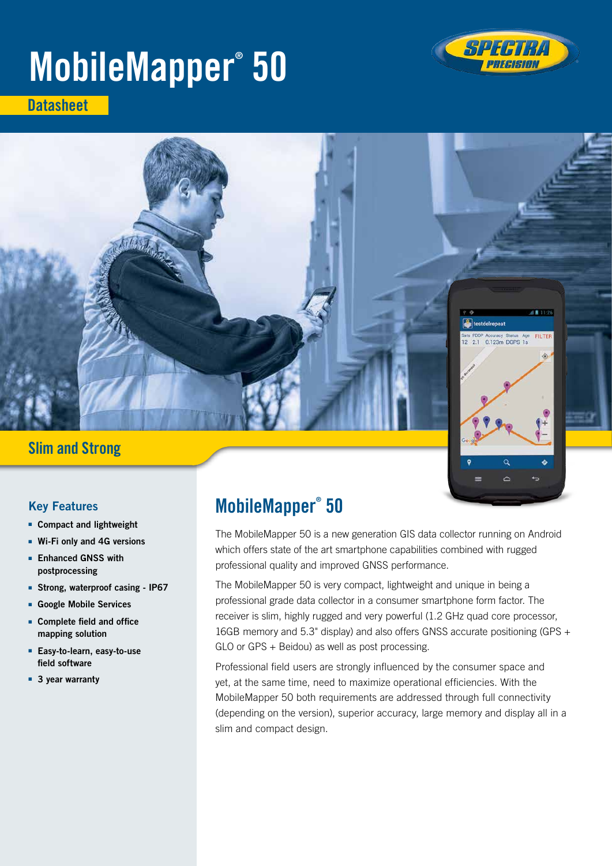# MobileMapper® 50



**Datasheet** 



# Slim and Strong

Ċ

## Key Features

- Compact and lightweight
- Wi-Fi only and 4G versions
- Enhanced GNSS with postprocessing
- Strong, waterproof casing IP67
- Google Mobile Services
- Complete field and office mapping solution
- Easy-to-learn, easy-to-use field software
- 3 year warranty

# MobileMapper® 50

The MobileMapper 50 is a new generation GIS data collector running on Android which offers state of the art smartphone capabilities combined with rugged professional quality and improved GNSS performance.

The MobileMapper 50 is very compact, lightweight and unique in being a professional grade data collector in a consumer smartphone form factor. The receiver is slim, highly rugged and very powerful (1.2 GHz quad core processor, 16GB memory and 5.3" display) and also offers GNSS accurate positioning (GPS + GLO or GPS + Beidou) as well as post processing.

Professional field users are strongly influenced by the consumer space and yet, at the same time, need to maximize operational efficiencies. With the MobileMapper 50 both requirements are addressed through full connectivity (depending on the version), superior accuracy, large memory and display all in a slim and compact design.